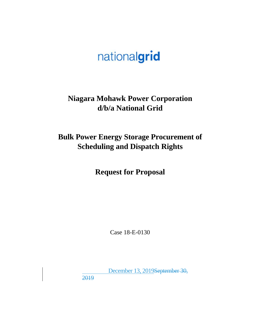# nationalgrid

### **Niagara Mohawk Power Corporation d/b/a National Grid**

## **Bulk Power Energy Storage Procurement of Scheduling and Dispatch Rights**

**Request for Proposal** 

Case 18-E-0130

 December 13, 2019September 30, 2019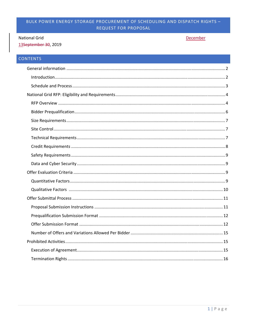#### **National Grid**

13September 30, 2019

#### December

#### CONTENTS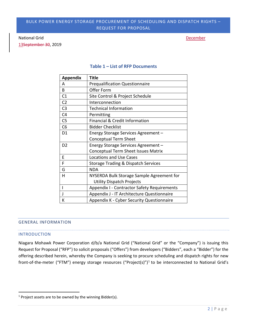#### National Grid December 2012 12:30 National Grid December 2012 12:30 National Grid December 2012 12:30 National December 2013 12:30 National December 2013 12:30 National December 2013 12:30 National December 2013 12:30 Nati

13September 30, 2019

| <b>Appendix</b> | <b>Title</b>                                       |
|-----------------|----------------------------------------------------|
| А               | <b>Prequalification Questionnaire</b>              |
| B               | Offer Form                                         |
| C1              | Site Control & Project Schedule                    |
| C <sub>2</sub>  | Interconnection                                    |
| C <sub>3</sub>  | <b>Technical Information</b>                       |
| C <sub>4</sub>  | Permitting                                         |
| C <sub>5</sub>  | <b>Financial &amp; Credit Information</b>          |
| C <sub>6</sub>  | <b>Bidder Checklist</b>                            |
| D <sub>1</sub>  | Energy Storage Services Agreement -                |
|                 | <b>Conceptual Term Sheet</b>                       |
| D <sub>2</sub>  | Energy Storage Services Agreement -                |
|                 | <b>Conceptual Term Sheet Issues Matrix</b>         |
| E               | <b>Locations and Use Cases</b>                     |
| F               | <b>Storage Trading &amp; Dispatch Services</b>     |
| G               | <b>NDA</b>                                         |
| Н               | NYSERDA Bulk Storage Sample Agreement for          |
|                 | <b>Utility Dispatch Projects</b>                   |
|                 | <b>Appendix I - Contractor Safety Requirements</b> |
|                 | Appendix J - IT Architecture Questionnaire         |
| К               | Appendix K - Cyber Security Questionnaire          |

#### **Table 1 – List of RFP Documents**

#### GENERAL INFORMATION

#### INTRODUCTION

**.** 

Niagara Mohawk Power Corporation d/b/a National Grid ("National Grid" or the "Company") is issuing this Request for Proposal ("RFP") to solicit proposals ("Offers") from developers ("Bidders", each a "Bidder") for the offering described herein, whereby the Company is seeking to procure scheduling and dispatch rights for new front-of-the-meter ("FTM") energy storage resources ("Project(s)")<sup>1</sup> to be interconnected to National Grid's

 $1$  Project assets are to be owned by the winning Bidder(s).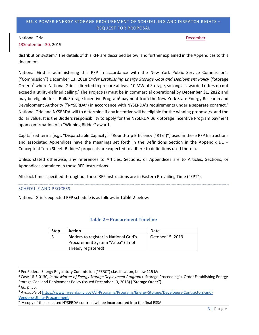#### National Grid December 2012 12:30 National Grid December 2012 12:30 National Grid December 2012 12:30 National December 2013 12:30 National December 2013 12:30 National December 2013 12:30 National December 2013 12:30 Nati

13September 30, 2019

distribution system.<sup>2</sup> The details of this RFP are described below, and further explained in the Appendices to this document.

National Grid is administering this RFP in accordance with the New York Public Service Commission's ("Commission") December 13, 2018 *Order Establishing Energy Storage Goal and Deployment Policy* ("Storage Order")<sup>3</sup> where National Grid is directed to procure at least 10 MW of Storage, so long as awarded offers do not exceed a utility-defined ceiling.<sup>4</sup> The Project(s) must be in commercial operational by December 31, 2022 and may be eligible for a Bulk Storage Incentive Program<sup>5</sup> payment from the New York State Energy Research and Development Authority ("NYSERDA") in accordance with NYSERDA's requirements under a separate contract.<sup>6</sup> National Grid and NYSERDA will to determine if any incentive will be eligible for the winning proposal/s. and the dollar value. It is the Bidders responsibility to apply for the NYSERDA Bulk Storage Incentive Program payment upon confirmation of a "Winning Bidder" award.

Capitalized terms (*e.g*., "Dispatchable Capacity," "Round-trip Efficiency ("RTE")") used in these RFP Instructions and associated Appendices have the meanings set forth in the Definitions Section in the Appendix D1 – Conceptual Term Sheet. Bidders' proposals are expected to adhere to definitions used therein.

Unless stated otherwise, any references to Articles, Sections, or Appendices are to Articles, Sections, or Appendices contained in these RFP Instructions.

All clock times specified throughout these RFP instructions are in Eastern Prevailing Time ("EPT").

#### SCHEDULE AND PROCESS

**.** 

National Grid's expected RFP schedule is as follows in Table 2 below:

#### **Table 2 – Procurement Timeline**

| <b>Step</b> | <b>Action</b>                          | Date             |
|-------------|----------------------------------------|------------------|
|             | Bidders to register in National Grid's | October 15, 2019 |
|             | Procurement System "Ariba" (if not     |                  |
|             | already registered)                    |                  |

<sup>&</sup>lt;sup>2</sup> Per Federal Energy Regulatory Commission ("FERC") classification, below 115 kV.<br><sup>3</sup> Case 18-E-0130. *In the Motter of Energy Storgge Deployment Program ("Storage I* 

<sup>&</sup>lt;sup>3</sup> Case 18-E-0130, *In the Matter of Energy Storage Deployment Program* ("Storage Proceeding"), Order Establishing Energy Storage Goal and Deployment Policy (issued December 13, 2018) ("Storage Order").<br><sup>4</sup> *Id.*, p. 55.<br><sup>5</sup> Available at https://www.nyserda.ny.gov/All-Programs/Programs/Energy-Storage/Developers-Contractors-and-

Vendors/Utility-Procurement 6

 $6$  A copy of the executed NYSERDA contract will be incorporated into the final ESSA.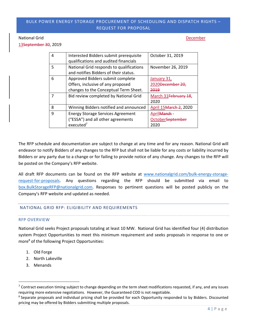#### National Grid December 2012 12:30 National Grid December 2012 12:30 National Grid December 2012 12:30 National December 2013 12:30 National December 2013 12:30 National December 2013 12:30 National December 2013 12:30 Nati

13September 30, 2019

| 4 | Interested Bidders submit prerequisite<br>qualifications and audited financials                                | October 31, 2019                                   |
|---|----------------------------------------------------------------------------------------------------------------|----------------------------------------------------|
| 5 | National Grid responds to qualifications<br>and notifies Bidders of their status.                              | November 26, 2019                                  |
| 6 | Approved Bidders submit complete<br>Offers, inclusive of any proposed<br>changes to the Conceptual Term Sheet. | January 31,<br>2020 <del>December 20</del><br>2019 |
|   | Bid review completed by National Grid                                                                          | March 31February<br>2020                           |
| 8 | Winning Bidders notified and announced                                                                         | April 15 March 2, 2020                             |
| 9 | <b>Energy Storage Services Agreement</b><br>("ESSA") and all other agreements<br>executed <sup>7</sup>         | AprilMarch -<br>October <del>Septemb</del><br>2020 |

The RFP schedule and documentation are subject to change at any time and for any reason. National Grid will endeavor to notify Bidders of any changes to the RFP but shall not be liable for any costs or liability incurred by Bidders or any party due to a change or for failing to provide notice of any change. Any changes to the RFP will be posted on the Company's RFP website.

All draft RFP documents can be found on the RFP website at www.nationalgrid.com/bulk-energy-storagerequest-for-proposals. Any questions regarding the RFP should be submitted via email to box.BulkStorageRFP@nationalgrid.com. Responses to pertinent questions will be posted publicly on the Company's RFP website and updated as needed.

#### NATIONAL GRID RFP: ELIGIBILITY AND REQUIREMENTS

#### RFP OVERVIEW

National Grid seeks Project proposals totaling at least 10 MW. National Grid has identified four (4) distribution system Project Opportunities to meet this minimum requirement and seeks proposals in response to one or more<sup>8</sup> of the following Project Opportunities:

- 1. Old Forge
- 2. North Lakeville
- 3. Menands

1

 $^7$  Contract execution timing subject to change depending on the term sheet modifications requested, if any, and any issues requiring more extensive negotiations. However, the Guaranteed COD is not negotiable.

<sup>&</sup>lt;sup>8</sup> Separate proposals and individual pricing shall be provided for each Opportunity responded to by Bidders. Discounted pricing may be offered by Bidders submitting multiple proposals.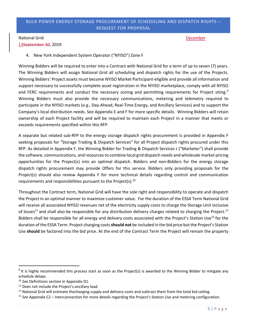#### National Grid December 2012 12:30 National Grid December 2012 12:30 National Grid December 2012 12:30 National December 2013 12:30 National December 2013 12:30 National December 2013 12:30 National December 2013 12:30 Nati

13September 30, 2019

4. New York Independent System Operator ("NYISO") Zone F

Winning Bidders will be required to enter into a Contract with National Grid for a term of up to seven (7) years. The Winning Bidders will assign National Grid all scheduling and dispatch rights for the use of the Projects. Winning Bidders' Project assets must become NYISO Market Participant-eligible and provide all information and support necessary to successfully complete asset registration in the NYISO marketplace, comply with all NYISO and FERC requirements and conduct the necessary zoning and permitting requirements for Project siting.<sup>9</sup> Winning Bidders must also provide the necessary communications, metering and telemetry required to participate in the NYISO markets (*e.g*., Day-Ahead, Real-Time Energy, and Ancillary Services) and to support the Company's local distribution needs. See Appendix E and F for more specific details. Winning Bidders will retain ownership of each Project facility and will be required to maintain each Project in a manner that meets or exceeds requirements specified within this RFP.

A separate but related sub-RFP to the energy storage dispatch rights procurement is provided in Appendix F seeking proposals for "Storage Trading & Dispatch Services" for all Project dispatch rights procured under this RFP. As detailed in Appendix F, the Winning Bidder for Trading & Dispatch Services r ("Marketer") shall provide the software, communications, and resources to combine local grid dispatch needs and wholesale market pricing opportunities for the Project(s) into an optimal dispatch. Bidders and non-Bidders for the energy storage dispatch rights procurement may provide Offers for this service. Bidders only providing proposals for the Project(s) should also review Appendix F for more technical details regarding control and communication requirements and responsibilities pursuant to the Project(s). $10$ 

Throughout the Contract term, National Grid will have the sole right and responsibility to operate and dispatch the Project in an optimal manner to maximize customer value. For the duration of the ESSA Term National Grid will receive all associated NYISO revenues net of the electricity supply costs to charge the Storage Unit inclusive of losses<sup>11</sup> and shall also be responsible for any distribution delivery charges related to charging the Project.<sup>12</sup> Bidders shall be responsible for all energy and delivery costs associated with the Project's Station Use<sup>13</sup> for the duration of the ESSA Term. Project charging costs **should not** be included in the bid price but the Project's Station Use **should** be factored into the bid price. At the end of the Contract Term the Project will remain the property

 $\overline{\phantom{a}}$ 

 $9$  It is highly recommended this process start as soon as the Project(s) is awarded to the Winning Bidder to mitigate any schedule delays.

<sup>&</sup>lt;sup>10</sup> *See* Definitions section in Appendix D1.<br><sup>11</sup> Does not include the Project's.ancillary load

<sup>&</sup>lt;sup>12</sup> National Grid will estimate thecharging supply and delivery costs and subtract them from the total bid ceiling.<br><sup>13</sup> See Appendix C2 – Interconnection for more details regarding the Project's Station Use and metering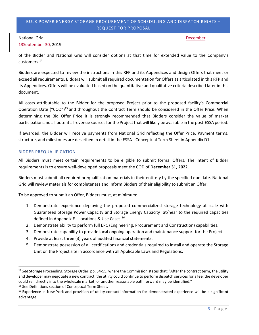#### National Grid December 2012 12:30 National Grid December 2012 12:30 National Grid December 2012 12:30 National December 2013 12:30 National December 2013 12:30 National December 2013 12:30 National December 2013 12:30 Nati

13September 30, 2019

of the Bidder and National Grid will consider options at that time for extended value to the Company's customers.14

Bidders are expected to review the instructions in this RFP and its Appendices and design Offers that meet or exceed all requirements. Bidders will submit all required documentation for Offers as articulated in this RFP and its Appendices. Offers will be evaluated based on the quantitative and qualitative criteria described later in this document.

All costs attributable to the Bidder for the proposed Project prior to the proposed facility's Commercial Operation Date ("COD")<sup>15</sup> and throughout the Contract Term should be considered in the Offer Price. When determining the Bid Offer Price it is strongly recommended that Bidders consider the value of market participation and all potential revenue sources for the Project that will likely be available in the post-ESSA period.

If awarded, the Bidder will receive payments from National Grid reflecting the Offer Price. Payment terms, structure, and milestones are described in detail in the ESSA - Conceptual Term Sheet in Appendix D1.

#### BIDDER PREQUALIFICATION

All Bidders must meet certain requirements to be eligible to submit formal Offers. The intent of Bidder requirements is to ensure well-developed proposals meet the COD of **December 31, 2022**.

Bidders must submit all required prequalification materials in their entirety by the specified due date. National Grid will review materials for completeness and inform Bidders of their eligibility to submit an Offer.

To be approved to submit an Offer, Bidders must, at minimum:

- 1. Demonstrate experience deploying the proposed commercialized storage technology at scale with Guaranteed Storage Power Capacity and Storage Energy Capacity at/near to the required capacities defined in Appendix E - Locations & Use Cases.<sup>16</sup>
- 2. Demonstrate ability to perform full EPC (Engineering, Procurement and Construction) capabilities.
- 3. Demonstrate capability to provide local ongoing operation and maintenance support for the Project.
- 4. Provide at least three (3) years of audited financial statements.
- 5. Demonstrate possession of all certifications and credentials required to install and operate the Storage Unit on the Project site in accordance with all Applicable Laws and Regulations.

**.** 

<sup>14</sup> *See* Storage Proceeding, Storage Order, pp. 54-55, where the Commission states that: "After the contract term, the utility and developer may negotiate a new contract, the utility could continue to perform dispatch services for a fee, the developer could sell directly into the wholesale market, or another reasonable path forward may be identified."<br><sup>15</sup> See Definitions section of Conceptual Term Sheet.

<sup>&</sup>lt;sup>16</sup> Experience in New York and provision of utility contact information for demonstrated experience will be a significant advantage.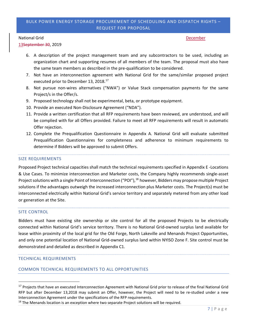#### National Grid December 2012 12:30 National Grid December 2012 12:30 National Grid December 2012 12:30 National December 2013 12:30 National December 2013 12:30 National December 2013 12:30 National December 2013 12:30 Nati

13September 30, 2019

- 6. A description of the project management team and any subcontractors to be used, including an organization chart and supporting resumes of all members of the team. The proposal must also have the same team members as described in the pre-qualification to be considered.
- 7. Not have an interconnection agreement with National Grid for the same/similar proposed project executed prior to December 13, 2018.<sup>17</sup>
- 8. Not pursue non-wires alternatives ("NWA") or Value Stack compensation payments for the same Project/s in the Offer/s.
- 9. Proposed technology shall not be experimental, beta, or prototype equipment.
- 10. Provide an executed Non-Disclosure Agreement ("NDA").
- 11. Provide a written certification that all RFP requirements have been reviewed, are understood, and will be complied with for all Offers provided. Failure to meet all RFP requirements will result in automatic Offer rejection.
- 12. Complete the Prequalification Questionnaire in Appendix A. National Grid will evaluate submitted Prequalification Questionnaires for completeness and adherence to minimum requirements to determine if Bidders will be approved to submit Offers.

#### SIZE REQUIREMENTS

Proposed Project technical capacities shall match the technical requirements specified in Appendix E -Locations & Use Cases. To minimize interconnection and Marketer costs, the Company highly recommends single-asset Project solutions with a single Point of Interconnection ("POI"),<sup>18</sup> however, Bidders may propose multiple Project solutions if the advantages outweigh the increased interconnection plus Marketer costs. The Project(s) must be interconnected electrically within National Grid's service territory and separately metered from any other load or generation at the Site.

#### SITE CONTROL

1

Bidders must have existing site ownership or site control for all the proposed Projects to be electrically connected within National Grid's service territory. There is no National Grid-owned surplus land available for lease within proximity of the local grid for the Old Forge, North Lakeville and Menands Project Opportunities, and only one potential location of National Grid-owned surplus land within NYISO Zone F. Site control must be demonstrated and detailed as described in Appendix C1.

#### TECHNICAL REQUIREMENTS

#### COMMON TECHNICAL REQUIREMENTS TO ALL OPPORTUNITIES

<sup>&</sup>lt;sup>17</sup> Projects that have an executed Interconnection Agreement with National Grid prior to release of the final National Grid RFP but after December 13,2018 may submit an Offer, however, the Project will need to be re-studied under a new Interconnection Agreement under the specifications of the RFP requirements.

 $18$  The Menands location is an exception where two separate Project solutions will be required.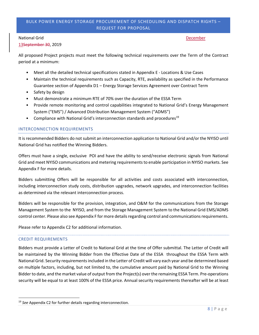#### National Grid December 2012 12:30 National Grid December 2012 12:30 National Grid December 2012 12:30 National December 2013 12:30 National December 2013 12:30 National December 2013 12:30 National December 2013 12:30 Nati

13September 30, 2019

All proposed Project projects must meet the following technical requirements over the Term of the Contract period at a minimum:

- Meet all the detailed technical specifications stated in Appendix E Locations & Use Cases
- Maintain the technical requirements such as Capacity, RTE, availability as specified in the Performance Guarantee section of Appendix D1 – Energy Storage Services Agreement over Contract Term
- Safety by design
- Must demonstrate a minimum RTE of 70% over the duration of the ESSA Term
- Provide remote monitoring and control capabilities integrated to National Grid's Energy Management System ("EMS") / Advanced Distribution Management System ("ADMS")
- Compliance with National Grid's interconnection standards and procedures<sup>19</sup>

#### INTERCONNECTION REQUIREMENTS

It is recommended Bidders do not submit an interconnection application to National Grid and/or the NYISO until National Grid has notified the Winning Bidders.

Offers must have a single, exclusive POI and have the ability to send/receive electronic signals from National Grid and meet NYISO communications and metering requirements to enable participation in NYISO markets. See Appendix F for more details.

Bidders submitting Offers will be responsible for all activities and costs associated with interconnection, including interconnection study costs, distribution upgrades, network upgrades, and interconnection facilities as determined via the relevant interconnection process.

Bidders will be responsible for the provision, integration, and O&M for the communications from the Storage Management System to the NYISO, and from the Storage Management System to the National Grid EMS/ADMS control center. Please also see Appendix F for more details regarding control and communications requirements.

Please refer to Appendix C2 for additional information.

#### CREDIT REQUIREMENTS

1

Bidders must provide a Letter of Credit to National Grid at the time of Offer submittal. The Letter of Credit will be maintained by the Winning Bidder from the Effective Date of the ESSA throughout the ESSA Term with National Grid. Security requirements included in the Letter of Credit will vary each year and be determined based on multiple factors, including, but not limited to, the cumulative amount paid by National Grid to the Winning Bidder to date, and the market value of output from the Project(s) over the remaining ESSA Term. Pre-operations security will be equal to at least 100% of the ESSA price. Annual security requirements thereafter will be at least

<sup>19</sup> *See* Appendix C2 for further details regarding interconnection.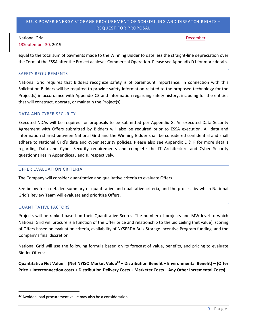#### National Grid December 2012 12:30 National Grid December 2012 12:30 National Grid December 2012 12:30 National December 2013 12:30 National December 2013 12:30 National December 2013 12:30 National December 2013 12:30 Nati

13September 30, 2019

equal to the total sum of payments made to the Winning Bidder to date less the straight-line depreciation over the Term of the ESSA after the Project achieves Commercial Operation. Please see Appendix D1 for more details.

#### SAFETY REQUIREMENTS

National Grid requires that Bidders recognize safety is of paramount importance. In connection with this Solicitation Bidders will be required to provide safety information related to the proposed technology for the Project(s) in accordance with Appendix C3 and information regarding safety history, including for the entities that will construct, operate, or maintain the Project(s).

#### DATA AND CYBER SECURITY

Executed NDAs will be required for proposals to be submitted per Appendix G. An executed Data Security Agreement with Offers submitted by Bidders will also be required prior to ESSA execution. All data and information shared between National Grid and the Winning Bidder shall be considered confidential and shall adhere to National Grid's data and cyber security policies. Please also see Appendix E & F for more details regarding Data and Cyber Security requirements and complete the IT Architecture and Cyber Security questionnaires in Appendices J and K, respectively.

#### OFFER EVALUATION CRITERIA

The Company will consider quantitative and qualitative criteria to evaluate Offers.

See below for a detailed summary of quantitative and qualitative criteria, and the process by which National Grid's Review Team will evaluate and prioritize Offers.

#### QUANTITATIVE FACTORS

1

Projects will be ranked based on their Quantitative Scores. The number of projects and MW level to which National Grid will procure is a function of the Offer price and relationship to the bid ceiling (net value), scoring of Offers based on evaluation criteria, availability of NYSERDA Bulk Storage Incentive Program funding, and the Company's final discretion.

National Grid will use the following formula based on its forecast of value, benefits, and pricing to evaluate Bidder Offers:

**Quantitative Net Value = (Net NYISO Market Value20 + Distribution Benefit + Environmental Benefit) – (Offer Price + Interconnection costs + Distribution Delivery Costs + Marketer Costs + Any Other Incremental Costs)** 

<sup>&</sup>lt;sup>20</sup> Avoided load procurement value may also be a consideration.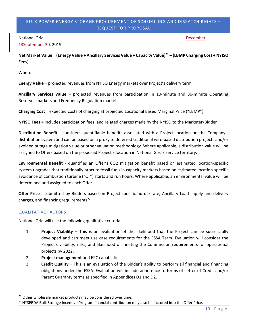#### National Grid December 2012 12:30 National Grid December 2012 12:30 National Grid December 2012 12:30 National December 2013 12:30 National December 2013 12:30 National December 2013 12:30 National December 2013 12:30 Nati

13September 30, 2019

**Net Market Value = (Energy Value + Ancillary Services Value + Capacity Value)21 – (LBMP Charging Cost + NYISO Fees)** 

Where:

**Energy Value** = projected revenues from NYISO Energy markets over Project's delivery term

**Ancillary Services Value** = projected revenues from participation in 10-minute and 30-minute Operating Reserves markets and Frequency Regulation market

**Charging Cost** = expected costs of charging at projected Locational Based Marginal Price ("LBMP")

**NYISO Fees** = includes participation fees, and related charges made by the NYISO to the Marketer/Bidder

**Distribution Benefit** - considers quantifiable benefits associated with a Project location on the Company's distribution system and can be based on a proxy to deferred traditional wire-based distribution projects and/or avoided outage mitigation value or other valuation methodology. Where applicable, a distribution value will be assigned to Offers based on the proposed Project's location in National Grid's service territory.

**Environmental Benefit** - quantifies an Offer's CO2 mitigation benefit based on estimated location-specific system upgrades that traditionally procure fossil fuels in capacity markets based on estimated location-specific avoidance of combustion turbine ("CT") starts and run hours. Where applicable, an environmental value will be determined and assigned to each Offer.

**Offer Price** - submitted by Bidders based on Project-specific hurdle rate, Ancillary Load supply and delivery charges, and financing requirements<sup>22</sup>

#### QUALITATIVE FACTORS

**.** 

National Grid will use the following qualitative criteria:

- 1. **Project Viability** This is an evaluation of the likelihood that the Project can be successfully developed and can meet use case requirements for the ESSA Term. Evaluation will consider the Project's viability, risks, and likelihood of meeting the Commission requirements for operational projects by 2022.
- 2. **Project management** and EPC capabilities.
- 3. **Credit Quality** This is an evaluation of the Bidder's ability to perform all financial and financing obligations under the ESSA. Evaluation will include adherence to forms of Letter of Credit and/or Parent Guaranty terms as specified in Appendices D1 and D2.

<sup>&</sup>lt;sup>21</sup> Other wholesale market products may be considered over time.<br><sup>22</sup> NYSERDA Bulk Storage Incentive Program financial contribution may also be factored into the Offer Price.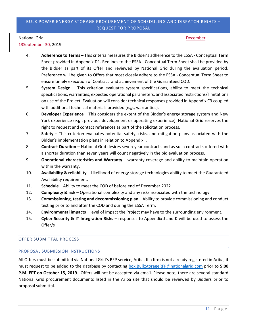#### National Grid December 2012 12:30 National Grid December 2012 12:30 National Grid December 2012 12:30 National December 2013 12:30 National December 2013 12:30 National December 2013 12:30 National December 2013 12:30 Nati

13September 30, 2019

- 4. **Adherence to Terms** This criteria measures the Bidder's adherence to the ESSA Conceptual Term Sheet provided in Appendix D1. Redlines to the ESSA - Conceptual Term Sheet shall be provided by the Bidder as part of its Offer and reviewed by National Grid during the evaluation period. Preference will be given to Offers that most closely adhere to the ESSA - Conceptual Term Sheet to ensure timely execution of Contract and achievement of the Guaranteed COD.
- 5. **System Design** This criterion evaluates system specifications, ability to meet the technical specifications, warranties, expected operational parameters, and associated restrictions/ limitations on use of the Project. Evaluation will consider technical responses provided in Appendix C3 coupled with additional technical materials provided (*e.g*., warranties).
- 6. **Developer Experience** This considers the extent of the Bidder's energy storage system and New York experience (*e.g*., previous development or operating experience). National Grid reserves the right to request and contact references as part of the solicitation process.
- 7. **Safety** This criterion evaluates potential safety, risks, and mitigation plans associated with the Bidder's implementation plans in relation to Appendix I.
- 8. **Contract Duration** National Grid desires seven-year contracts and as such contracts offered with a shorter duration than seven years will count negatively in the bid evaluation process.
- 9. **Operational characteristics and Warranty** warranty coverage and ability to maintain operation within the warranty.
- 10. **Availability & reliability** Likelihood of energy storage technologies ability to meet the Guaranteed Availability requirement.
- 11. **Schedule** Ability to meet the COD of before end of December 2022
- 12. **Complexity & risk** Operational complexity and any risks associated with the technology
- 13. **Commissioning, testing and decommissioning plan** Ability to provide commissioning and conduct testing prior to and after the COD and during the ESSA Term.
- 14. **Environmental impacts** level of impact the Project may have to the surrounding environment.
- 15. **Cyber Security & IT Integration Risks** responses to Appendix J and K will be used to assess the Offer/s

#### OFFER SUBMITTAL PROCESS

#### PROPOSAL SUBMISSION INSTRUCTIONS

All Offers must be submitted via National Grid's RFP service, Ariba. If a firm is not already registered in Ariba, it must request to be added to the database by contacting box.BulkStorageRFP@nationalgrid.com prior to **5:00 P.M. EPT on October 15, 2019**. Offers will not be accepted via email. Please note, there are several standard National Grid procurement documents listed in the Ariba site that should be reviewed by Bidders prior to proposal submittal.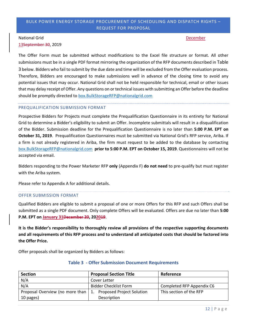### National Grid December 2012 12:30 National Grid December 2012 12:30 National Grid December 2012 12:30 National December 2013 12:30 National December 2013 12:30 National December 2013 12:30 National December 2013 12:30 Nati

13September 30, 2019

The Offer Form must be submitted without modifications to the Excel file structure or format. All other submissions must be in a single PDF format mirroring the organization of the RFP documents described in Table 3 below. Bidders who fail to submit by the due date and time will be excluded from the Offer evaluation process. Therefore, Bidders are encouraged to make submissions well in advance of the closing time to avoid any potential issues that may occur. National Grid shall not be held responsible for technical, email or other issues that may delay receipt of Offer. Any questions on or technical issues with submitting an Offer before the deadline should be promptly directed to box.BulkStorageRFP@nationalgrid.com

#### PREQUALIFICATION SUBMISSION FORMAT

Prospective Bidders for Projects must complete the Prequalification Questionnaire in its entirety for National Grid to determine a Bidder's eligibility to submit an Offer. Incomplete submittals will result in a disqualification of the Bidder. Submission deadline for the Prequalification Questionnaire is no later than **5:00 P.M. EPT on October 31, 2019**. Prequalification Questionnaires must be submitted via National Grid's RFP service, Ariba. If a firm is not already registered in Ariba, the firm must request to be added to the database by contacting box.BulkStorageRFP@nationalgrid.com **prior to 5:00 P.M. EPT on October 15, 2019**. Questionnaires will not be accepted via email.

Bidders responding to the Power Marketer RFP **only** (Appendix F) **do not need** to pre-qualify but must register with the Ariba system.

Please refer to Appendix A for additional details.

#### OFFER SUBMISSION FORMAT

Qualified Bidders are eligible to submit a proposal of one or more Offers for this RFP and such Offers shall be submitted as a single PDF document. Only complete Offers will be evaluated. Offers are due no later than **5:00 P.M. EPT on January 31December 20, 202019**.

**It is the Bidder's responsibility to thoroughly review all provisions of the respective supporting documents and all requirements of this RFP process and to understand all anticipated costs that should be factored into the Offer Price.** 

Offer proposals shall be organized by Bidders as follows:

| <b>Section</b>                       | <b>Proposal Section Title</b>    | Reference                 |
|--------------------------------------|----------------------------------|---------------------------|
| N/A                                  | Cover Letter                     |                           |
| N/A                                  | <b>Bidder Checklist Form</b>     | Completed RFP Appendix C6 |
| Proposal Overview (no more than   1. | <b>Proposed Project Solution</b> | This section of the RFP   |
| 10 pages)                            | Description                      |                           |

#### **Table 3 - Offer Submission Document Requirements**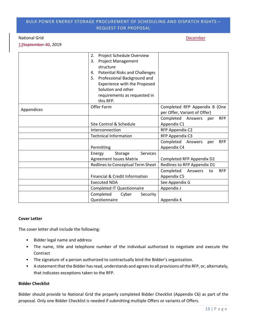#### National Grid December 2012 12:30 National Grid December 2012 12:30 National Grid December 2012 12:30 National December 2013 12:30 National December 2013 12:30 National December 2013 12:30 National December 2013 12:30 Nati

13September 30, 2019

|            | Project Schedule Overview<br>2.             |                                           |
|------------|---------------------------------------------|-------------------------------------------|
|            | <b>Project Management</b><br>3.             |                                           |
|            | structure                                   |                                           |
|            | <b>Potential Risks and Challenges</b><br>4. |                                           |
|            | Professional Background and<br>5.           |                                           |
|            | Experience with the Proposed                |                                           |
|            | Solution and other                          |                                           |
|            | requirements as requested in                |                                           |
|            | this RFP.                                   |                                           |
|            | Offer Form                                  | Completed RFP Appendix B (One             |
| Appendices |                                             | per Offer, Variant of Offer)              |
|            |                                             | Completed Answers<br><b>RFP</b><br>per    |
|            | Site Control & Schedule                     | Appendix C1                               |
|            | Interconnection                             | RFP Appendix C2                           |
|            | <b>Technical Information</b>                | RFP Appendix C3                           |
|            |                                             | Completed<br><b>RFP</b><br>Answers<br>per |
|            | Permitting                                  | Appendix C4                               |
|            | <b>Services</b><br>Energy<br>Storage        |                                           |
|            | <b>Agreement Issues Matrix</b>              | Completed RFP Appendix D2                 |
|            | Redlines to Conceptual Term Sheet           | Redlines to RFP Appendix D1               |
|            |                                             | Completed<br><b>RFP</b><br>Answers<br>to  |
|            | Financial & Credit Information              | Appendix C5                               |
|            | <b>Executed NDA</b>                         | See Appendix G                            |
|            | <b>Completed IT Questionnaire</b>           | Appendix J                                |
|            | Completed<br>Cyber<br>Security              |                                           |
|            | Questionnaire                               | Appendix K                                |

#### **Cover Letter**

The cover letter shall include the following:

- Bidder legal name and address
- The name, title and telephone number of the individual authorized to negotiate and execute the Contract
- The signature of a person authorized to contractually bind the Bidder's organization.
- A statement that the Bidder has read, understands and agrees to all provisions of the RFP, or, alternately, that indicates exceptions taken to the RFP.

#### **Bidder Checklist**

Bidder should provide to National Grid the properly completed Bidder Checklist (Appendix C6) as part of the proposal. Only one Bidder Checklist is needed if submitting multiple Offers or variants of Offers.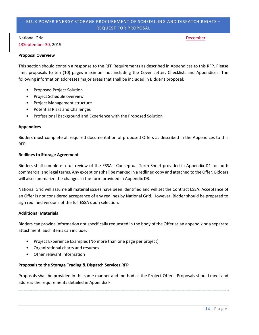### National Grid December 2012 12:30 National Grid December 2012 12:30 National Grid December 2012 12:30 National December 2013 12:30 National December 2013 12:30 National December 2013 12:30 National December 2013 12:30 Nati

13September 30, 2019

#### **Proposal Overview**

This section should contain a response to the RFP Requirements as described in Appendices to this RFP. Please limit proposals to ten (10) pages maximum not including the Cover Letter, Checklist, and Appendices. The following information addresses major areas that shall be included in Bidder's proposal:

- Proposed Project Solution
- Project Schedule overview
- Project Management structure
- Potential Risks and Challenges
- Professional Background and Experience with the Proposed Solution

#### **Appendices**

Bidders must complete all required documentation of proposed Offers as described in the Appendices to this RFP.

#### **Redlines to Storage Agreement**

Bidders shall complete a full review of the ESSA - Conceptual Term Sheet provided in Appendix D1 for both commercial and legal terms. Any exceptions shall be marked in a redlined copy and attached to the Offer. Bidders will also summarize the changes in the form provided in Appendix D3.

National Grid will assume all material issues have been identified and will set the Contract ESSA. Acceptance of an Offer is not considered acceptance of any redlines by National Grid. However, Bidder should be prepared to sign redlined versions of the full ESSA upon selection.

#### **Additional Materials**

Bidders can provide information not specifically requested in the body of the Offer as an appendix or a separate attachment. Such items can include:

- Project Experience Examples (No more than one page per project)
- Organizational charts and resumes
- Other relevant information

#### **Proposals to the Storage Trading & Dispatch Services RFP**

Proposals shall be provided in the same manner and method as the Project Offers. Proposals should meet and address the requirements detailed in Appendix F.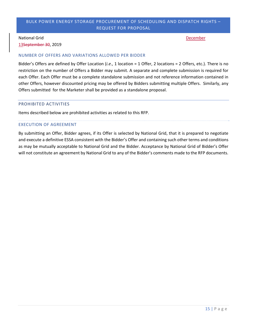#### National Grid December 2012 12:30 National Grid December 2012 12:30 National Grid December 2012 12:30 National December 2013 12:30 National December 2013 12:30 National December 2013 12:30 National December 2013 12:30 Nati

13September 30, 2019

#### NUMBER OF OFFERS AND VARIATIONS ALLOWED PER BIDDER

Bidder's Offers are defined by Offer Location (*i.e*., 1 location = 1 Offer, 2 locations = 2 Offers, etc.). There is no restriction on the number of Offers a Bidder may submit. A separate and complete submission is required for each Offer. Each Offer must be a complete standalone submission and not reference information contained in other Offers, however discounted pricing may be offered by Bidders submitting multiple Offers. Similarly, any Offers submitted for the Marketer shall be provided as a standalone proposal.

#### PROHIBITED ACTIVITIES

Items described below are prohibited activities as related to this RFP.

#### EXECUTION OF AGREEMENT

By submitting an Offer, Bidder agrees, if its Offer is selected by National Grid, that it is prepared to negotiate and execute a definitive ESSA consistent with the Bidder's Offer and containing such other terms and conditions as may be mutually acceptable to National Grid and the Bidder. Acceptance by National Grid of Bidder's Offer will not constitute an agreement by National Grid to any of the Bidder's comments made to the RFP documents.